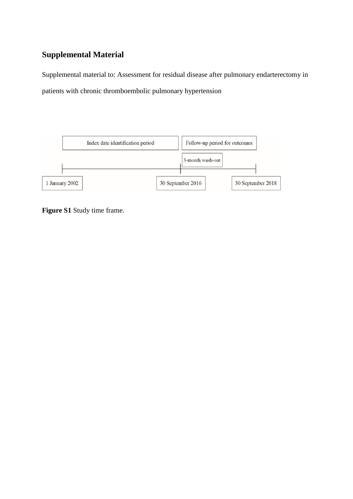# **Supplemental Material**

Supplemental material to: Assessment for residual disease after pulmonary endarterectomy in patients with chronic thromboembolic pulmonary hypertension



**Figure S1** Study time frame.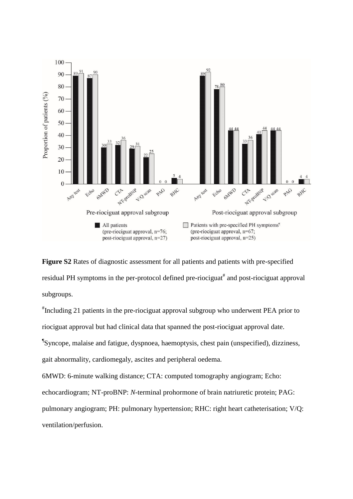

**Figure S2** Rates of diagnostic assessment for all patients and patients with pre-specified residual PH symptoms in the per-protocol defined pre-riociguat<sup>#</sup> and post-riociguat approval subgroups.

# Including 21 patients in the pre-riociguat approval subgroup who underwent PEA prior to riociguat approval but had clinical data that spanned the post-riociguat approval date. ¶ Syncope, malaise and fatigue, dyspnoea, haemoptysis, chest pain (unspecified), dizziness, gait abnormality, cardiomegaly, ascites and peripheral oedema. 6MWD: 6-minute walking distance; CTA: computed tomography angiogram; Echo:

echocardiogram; NT-proBNP: *N*-terminal prohormone of brain natriuretic protein; PAG:

pulmonary angiogram; PH: pulmonary hypertension; RHC: right heart catheterisation; V/Q:

ventilation/perfusion.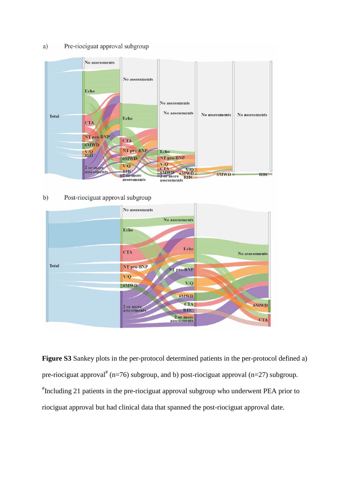#### Pre-riociguat approval subgroup a)



 $b)$ Post-riociguat approval subgroup



**Figure S3** Sankey plots in the per-protocol determined patients in the per-protocol defined a) pre-riociguat approval<sup>#</sup> (n=76) subgroup, and b) post-riociguat approval (n=27) subgroup. # Including 21 patients in the pre-riociguat approval subgroup who underwent PEA prior to riociguat approval but had clinical data that spanned the post-riociguat approval date.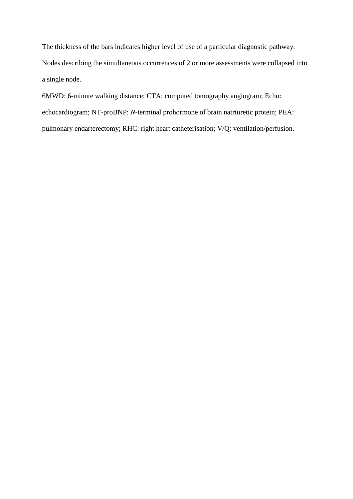The thickness of the bars indicates higher level of use of a particular diagnostic pathway. Nodes describing the simultaneous occurrences of 2 or more assessments were collapsed into a single node.

6MWD: 6-minute walking distance; CTA: computed tomography angiogram; Echo: echocardiogram; NT-proBNP: *N*-terminal prohormone of brain natriuretic protein; PEA: pulmonary endarterectomy; RHC: right heart catheterisation; V/Q: ventilation/perfusion.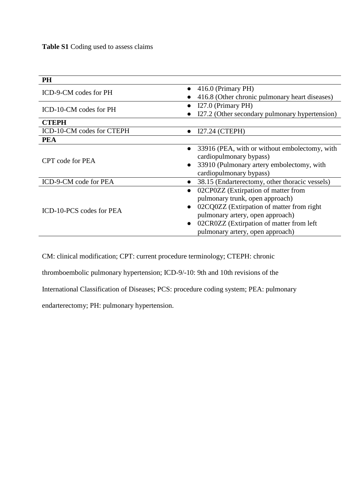**Table S1** Coding used to assess claims

| <b>PH</b>                 |                                                            |
|---------------------------|------------------------------------------------------------|
| ICD-9-CM codes for PH     | 416.0 (Primary PH)<br>$\bullet$                            |
|                           | 416.8 (Other chronic pulmonary heart diseases)             |
| ICD-10-CM codes for PH    | I27.0 (Primary PH)                                         |
|                           | I27.2 (Other secondary pulmonary hypertension)             |
| <b>CTEPH</b>              |                                                            |
| ICD-10-CM codes for CTEPH | I27.24 (CTEPH)                                             |
| <b>PEA</b>                |                                                            |
|                           | 33916 (PEA, with or without embolectomy, with<br>$\bullet$ |
| CPT code for PEA          | cardiopulmonary bypass)                                    |
|                           | 33910 (Pulmonary artery embolectomy, with                  |
|                           | cardiopulmonary bypass)                                    |
| ICD-9-CM code for PEA     | 38.15 (Endarterectomy, other thoracic vessels)             |
|                           | 02CP0ZZ (Extirpation of matter from                        |
|                           | pulmonary trunk, open approach)                            |
| ICD-10-PCS codes for PEA  | 02CQ0ZZ (Extirpation of matter from right)                 |
|                           | pulmonary artery, open approach)                           |
|                           | 02CR0ZZ (Extirpation of matter from left)                  |
|                           | pulmonary artery, open approach)                           |

CM: clinical modification; CPT: current procedure terminology; CTEPH: chronic

thromboembolic pulmonary hypertension; ICD-9/-10: 9th and 10th revisions of the

International Classification of Diseases; PCS: procedure coding system; PEA: pulmonary

endarterectomy; PH: pulmonary hypertension.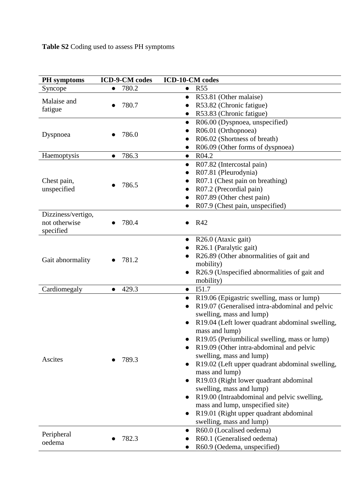**Table S2** Coding used to assess PH symptoms

| <b>PH</b> symptoms                               | <b>ICD-9-CM</b> codes | ICD-10-CM codes                                                                           |  |  |  |  |  |
|--------------------------------------------------|-----------------------|-------------------------------------------------------------------------------------------|--|--|--|--|--|
| Syncope                                          | 780.2                 | <b>R55</b><br>$\bullet$                                                                   |  |  |  |  |  |
| Malaise and                                      |                       | R53.81 (Other malaise)<br>$\bullet$                                                       |  |  |  |  |  |
| fatigue                                          | 780.7                 | R53.82 (Chronic fatigue)                                                                  |  |  |  |  |  |
|                                                  |                       | R53.83 (Chronic fatigue)                                                                  |  |  |  |  |  |
|                                                  |                       | R06.00 (Dyspnoea, unspecified)<br>$\bullet$                                               |  |  |  |  |  |
| Dyspnoea                                         | 786.0                 | R06.01 (Orthopnoea)                                                                       |  |  |  |  |  |
|                                                  |                       | R06.02 (Shortness of breath)                                                              |  |  |  |  |  |
|                                                  |                       | R06.09 (Other forms of dyspnoea)                                                          |  |  |  |  |  |
| Haemoptysis                                      | 786.3<br>$\bullet$    | R04.2<br>$\bullet$                                                                        |  |  |  |  |  |
|                                                  |                       | R07.82 (Intercostal pain)<br>$\bullet$                                                    |  |  |  |  |  |
|                                                  |                       | R07.81 (Pleurodynia)                                                                      |  |  |  |  |  |
| Chest pain,                                      | 786.5                 | R07.1 (Chest pain on breathing)                                                           |  |  |  |  |  |
| unspecified                                      |                       | R07.2 (Precordial pain)                                                                   |  |  |  |  |  |
|                                                  |                       | R07.89 (Other chest pain)                                                                 |  |  |  |  |  |
|                                                  |                       | R07.9 (Chest pain, unspecified)                                                           |  |  |  |  |  |
| Dizziness/vertigo,<br>not otherwise<br>specified | 780.4                 | R42                                                                                       |  |  |  |  |  |
|                                                  |                       | R26.0 (Ataxic gait)<br>$\bullet$                                                          |  |  |  |  |  |
|                                                  |                       | R26.1 (Paralytic gait)                                                                    |  |  |  |  |  |
| Gait abnormality                                 | 781.2                 | R26.89 (Other abnormalities of gait and                                                   |  |  |  |  |  |
|                                                  |                       | mobility)                                                                                 |  |  |  |  |  |
|                                                  |                       | R26.9 (Unspecified abnormalities of gait and<br>$\bullet$                                 |  |  |  |  |  |
|                                                  |                       | mobility)                                                                                 |  |  |  |  |  |
| Cardiomegaly                                     | 429.3<br>$\bullet$    | I51.7<br>$\bullet$                                                                        |  |  |  |  |  |
|                                                  |                       | R19.06 (Epigastric swelling, mass or lump)                                                |  |  |  |  |  |
|                                                  |                       | R19.07 (Generalised intra-abdominal and pelvic                                            |  |  |  |  |  |
|                                                  |                       | swelling, mass and lump)                                                                  |  |  |  |  |  |
|                                                  |                       | R19.04 (Left lower quadrant abdominal swelling,                                           |  |  |  |  |  |
|                                                  |                       | mass and lump)                                                                            |  |  |  |  |  |
|                                                  |                       | R19.05 (Periumbilical swelling, mass or lump)<br>R19.09 (Other intra-abdominal and pelvic |  |  |  |  |  |
|                                                  |                       | swelling, mass and lump)                                                                  |  |  |  |  |  |
| Ascites                                          | 789.3                 | R19.02 (Left upper quadrant abdominal swelling,                                           |  |  |  |  |  |
|                                                  |                       | mass and lump)                                                                            |  |  |  |  |  |
|                                                  |                       | R19.03 (Right lower quadrant abdominal                                                    |  |  |  |  |  |
|                                                  |                       | swelling, mass and lump)                                                                  |  |  |  |  |  |
|                                                  |                       | R19.00 (Intraabdominal and pelvic swelling,                                               |  |  |  |  |  |
|                                                  |                       | mass and lump, unspecified site)                                                          |  |  |  |  |  |
|                                                  |                       | R19.01 (Right upper quadrant abdominal<br>$\bullet$                                       |  |  |  |  |  |
|                                                  |                       | swelling, mass and lump)                                                                  |  |  |  |  |  |
|                                                  |                       | R60.0 (Localised oedema)<br>$\bullet$                                                     |  |  |  |  |  |
| Peripheral                                       | 782.3                 | R60.1 (Generalised oedema)                                                                |  |  |  |  |  |
| oedema                                           |                       | R60.9 (Oedema, unspecified)                                                               |  |  |  |  |  |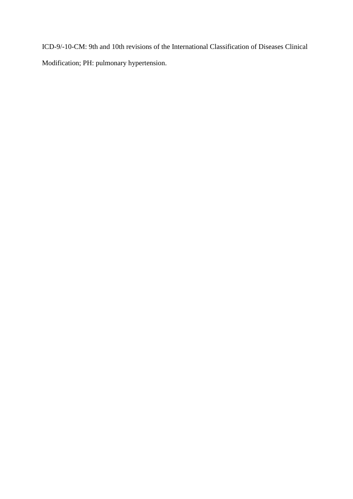ICD-9/-10-CM: 9th and 10th revisions of the International Classification of Diseases Clinical Modification; PH: pulmonary hypertension.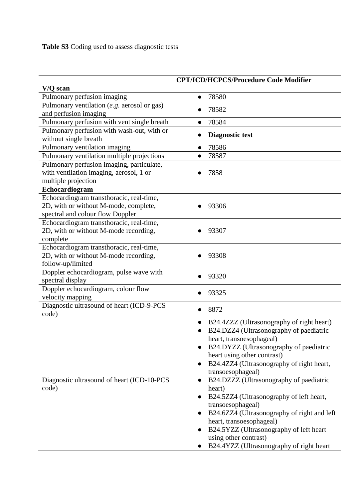|                                                      | <b>CPT/ICD/HCPCS/Procedure Code Modifier</b>             |
|------------------------------------------------------|----------------------------------------------------------|
| V/Q scan                                             |                                                          |
| Pulmonary perfusion imaging                          | 78580<br>$\bullet$                                       |
| Pulmonary ventilation (e.g. aerosol or gas)          | 78582                                                    |
| and perfusion imaging                                |                                                          |
| Pulmonary perfusion with vent single breath          | 78584<br>●                                               |
| Pulmonary perfusion with wash-out, with or           | <b>Diagnostic test</b>                                   |
| without single breath                                |                                                          |
| Pulmonary ventilation imaging                        | 78586<br>$\bullet$                                       |
| Pulmonary ventilation multiple projections           | 78587                                                    |
| Pulmonary perfusion imaging, particulate,            |                                                          |
| with ventilation imaging, aerosol, 1 or              | 7858                                                     |
| multiple projection                                  |                                                          |
| Echocardiogram                                       |                                                          |
| Echocardiogram transthoracic, real-time,             |                                                          |
| 2D, with or without M-mode, complete,                | 93306                                                    |
| spectral and colour flow Doppler                     |                                                          |
| Echocardiogram transthoracic, real-time,             |                                                          |
| 2D, with or without M-mode recording,                | 93307                                                    |
| complete<br>Echocardiogram transthoracic, real-time, |                                                          |
| 2D, with or without M-mode recording,                | 93308                                                    |
| follow-up/limited                                    |                                                          |
| Doppler echocardiogram, pulse wave with              |                                                          |
| spectral display                                     | 93320                                                    |
| Doppler echocardiogram, colour flow                  |                                                          |
| velocity mapping                                     | 93325                                                    |
| Diagnostic ultrasound of heart (ICD-9-PCS            |                                                          |
| code)                                                | 8872                                                     |
|                                                      | B24.4ZZZ (Ultrasonography of right heart)                |
|                                                      | B24.DZZ4 (Ultrasonography of paediatric                  |
|                                                      | heart, transoesophageal)                                 |
|                                                      | B24.DYZZ (Ultrasonography of paediatric                  |
|                                                      | heart using other contrast)                              |
|                                                      | B24.4ZZ4 (Ultrasonography of right heart,<br>$\bullet$   |
|                                                      | transoesophageal)                                        |
| Diagnostic ultrasound of heart (ICD-10-PCS           | B24.DZZZ (Ultrasonography of paediatric<br>$\bullet$     |
| code)                                                | heart)                                                   |
|                                                      | B24.5ZZ4 (Ultrasonography of left heart,<br>$\bullet$    |
|                                                      | transoesophageal)                                        |
|                                                      | B24.6ZZ4 (Ultrasonography of right and left<br>$\bullet$ |
|                                                      | heart, transoesophageal)                                 |
|                                                      | B24.5YZZ (Ultrasonography of left heart                  |
|                                                      | using other contrast)                                    |
|                                                      | B24.4YZZ (Ultrasonography of right heart                 |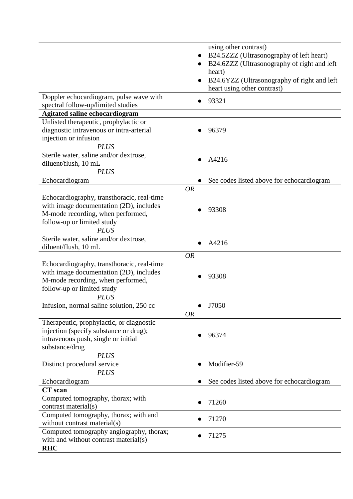|                                            | using other contrast)                                    |
|--------------------------------------------|----------------------------------------------------------|
|                                            | B24.5ZZZ (Ultrasonography of left heart)                 |
|                                            | B24.6ZZZ (Ultrasonography of right and left<br>$\bullet$ |
|                                            | heart)                                                   |
|                                            | B24.6YZZ (Ultrasonography of right and left<br>$\bullet$ |
|                                            | heart using other contrast)                              |
| Doppler echocardiogram, pulse wave with    |                                                          |
| spectral follow-up/limited studies         | 93321<br>$\bullet$                                       |
| <b>Agitated saline echocardiogram</b>      |                                                          |
| Unlisted therapeutic, prophylactic or      |                                                          |
| diagnostic intravenous or intra-arterial   | 96379                                                    |
| injection or infusion                      |                                                          |
| <b>PLUS</b>                                |                                                          |
| Sterile water, saline and/or dextrose,     |                                                          |
| diluent/flush, 10 mL                       | A4216                                                    |
| <b>PLUS</b>                                |                                                          |
| Echocardiogram                             | See codes listed above for echocardiogram                |
|                                            | <b>OR</b>                                                |
| Echocardiography, transthoracic, real-time |                                                          |
| with image documentation (2D), includes    |                                                          |
| M-mode recording, when performed,          | 93308                                                    |
| follow-up or limited study                 |                                                          |
| <b>PLUS</b>                                |                                                          |
| Sterile water, saline and/or dextrose,     |                                                          |
| diluent/flush, 10 mL                       | A4216                                                    |
|                                            | <b>OR</b>                                                |
| Echocardiography, transthoracic, real-time |                                                          |
| with image documentation (2D), includes    |                                                          |
| M-mode recording, when performed,          | 93308                                                    |
| follow-up or limited study                 |                                                          |
| <b>PLUS</b>                                |                                                          |
| Infusion, normal saline solution, 250 cc   | J7050                                                    |
|                                            | <b>OR</b>                                                |
| Therapeutic, prophylactic, or diagnostic   |                                                          |
| injection (specify substance or drug);     |                                                          |
| intravenous push, single or initial        | 96374                                                    |
| substance/drug                             |                                                          |
| <b>PLUS</b>                                |                                                          |
| Distinct procedural service                | Modifier-59                                              |
| <b>PLUS</b>                                |                                                          |
| Echocardiogram                             | See codes listed above for echocardiogram                |
| <b>CT</b> scan                             |                                                          |
| Computed tomography, thorax; with          |                                                          |
| contrast material(s)                       | 71260                                                    |
| Computed tomography, thorax; with and      |                                                          |
| without contrast material(s)               | 71270                                                    |
| Computed tomography angiography, thorax;   |                                                          |
| with and without contrast material(s)      | 71275                                                    |
| <b>RHC</b>                                 |                                                          |
|                                            |                                                          |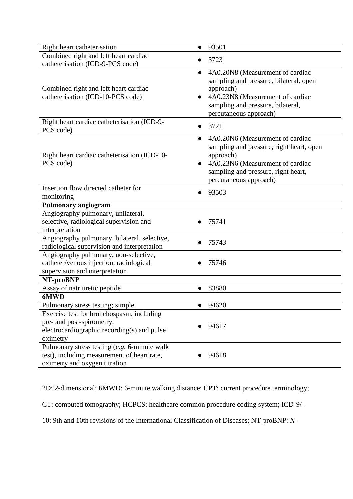| Right heart catheterisation                                                                                                  | 93501<br>●                                                                                                                                                                                                               |
|------------------------------------------------------------------------------------------------------------------------------|--------------------------------------------------------------------------------------------------------------------------------------------------------------------------------------------------------------------------|
| Combined right and left heart cardiac<br>catheterisation (ICD-9-PCS code)                                                    | 3723                                                                                                                                                                                                                     |
| Combined right and left heart cardiac<br>catheterisation (ICD-10-PCS code)                                                   | 4A0.20N8 (Measurement of cardiac<br>$\bullet$<br>sampling and pressure, bilateral, open<br>approach)<br>4A0.23N8 (Measurement of cardiac<br>sampling and pressure, bilateral,<br>percutaneous approach)                  |
| Right heart cardiac catheterisation (ICD-9-<br>PCS code)                                                                     | 3721                                                                                                                                                                                                                     |
| Right heart cardiac catheterisation (ICD-10-<br>PCS code)                                                                    | 4A0.20N6 (Measurement of cardiac<br>$\bullet$<br>sampling and pressure, right heart, open<br>approach)<br>4A0.23N6 (Measurement of cardiac<br>$\bullet$<br>sampling and pressure, right heart,<br>percutaneous approach) |
| Insertion flow directed catheter for<br>monitoring                                                                           | 93503                                                                                                                                                                                                                    |
| Pulmonary angiogram                                                                                                          |                                                                                                                                                                                                                          |
| Angiography pulmonary, unilateral,<br>selective, radiological supervision and<br>interpretation                              | 75741                                                                                                                                                                                                                    |
| Angiography pulmonary, bilateral, selective,<br>radiological supervision and interpretation                                  | 75743                                                                                                                                                                                                                    |
| Angiography pulmonary, non-selective,<br>catheter/venous injection, radiological<br>supervision and interpretation           | 75746                                                                                                                                                                                                                    |
| NT-proBNP                                                                                                                    |                                                                                                                                                                                                                          |
| Assay of natriuretic peptide                                                                                                 | 83880<br>$\bullet$                                                                                                                                                                                                       |
| 6MWD                                                                                                                         |                                                                                                                                                                                                                          |
| Pulmonary stress testing; simple<br>Exercise test for bronchospasm, including                                                | 94620                                                                                                                                                                                                                    |
| pre- and post-spirometry,<br>electrocardiographic recording(s) and pulse<br>oximetry                                         | 94617                                                                                                                                                                                                                    |
| Pulmonary stress testing (e.g. 6-minute walk<br>test), including measurement of heart rate,<br>oximetry and oxygen titration | 94618                                                                                                                                                                                                                    |

2D: 2-dimensional; 6MWD: 6-minute walking distance; CPT: current procedure terminology;

CT: computed tomography; HCPCS: healthcare common procedure coding system; ICD-9/-

10: 9th and 10th revisions of the International Classification of Diseases; NT-proBNP: *N*-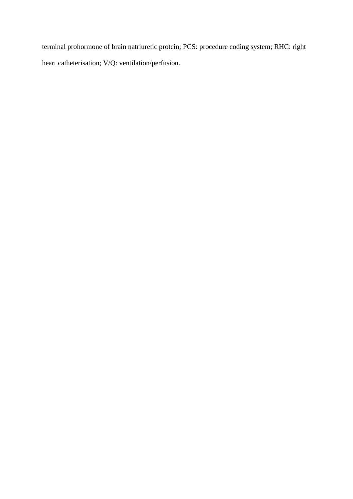terminal prohormone of brain natriuretic protein; PCS: procedure coding system; RHC: right heart catheterisation; V/Q: ventilation/perfusion.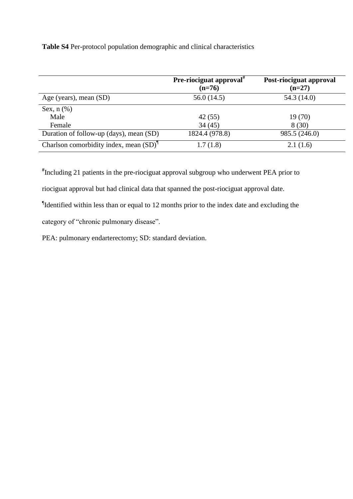**Table S4** Per-protocol population demographic and clinical characteristics

|                                           | <b>Pre-riociguat approval</b> $\pi$<br>$(n=76)$ | Post-riociguat approval<br>$(n=27)$ |
|-------------------------------------------|-------------------------------------------------|-------------------------------------|
| Age (years), mean (SD)                    | 56.0(14.5)                                      | 54.3 (14.0)                         |
| Sex, $n$ $(\%)$                           |                                                 |                                     |
| Male                                      | 42(55)                                          | 19(70)                              |
| Female                                    | 34(45)                                          | 8(30)                               |
| Duration of follow-up (days), mean (SD)   | 1824.4 (978.8)                                  | 985.5 (246.0)                       |
| Charlson comorbidity index, mean $(SD)^T$ | 1.7(1.8)                                        | 2.1(1.6)                            |

**#** Including 21 patients in the pre-riociguat approval subgroup who underwent PEA prior to

riociguat approval but had clinical data that spanned the post-riociguat approval date.

¶ Identified within less than or equal to 12 months prior to the index date and excluding the

category of "chronic pulmonary disease".

PEA: pulmonary endarterectomy; SD: standard deviation.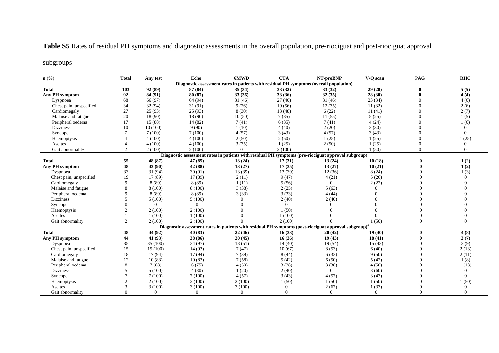## **Table S5** Rates of residual PH symptoms and diagnostic assessments in the overall population, pre-riociguat and post-riociguat approval

### subgroups

| n(%                                                                                    | <b>Total</b>   | Any test | Echo           | 6MWD     | <b>CTA</b> | NT-proBNP                                                                                                         | V/O scan | PAG          | <b>RHC</b> |  |
|----------------------------------------------------------------------------------------|----------------|----------|----------------|----------|------------|-------------------------------------------------------------------------------------------------------------------|----------|--------------|------------|--|
| Diagnostic assessment rates in patients with residual PH symptoms (overall population) |                |          |                |          |            |                                                                                                                   |          |              |            |  |
| <b>Total</b>                                                                           | 103            | 92 (89)  | 87 (84)        | 35(34)   | 33(32)     | 33(32)                                                                                                            | 29(28)   | $\mathbf{0}$ | 5(5)       |  |
| Any PH symptom                                                                         | 92             | 84 (91)  | 80 (87)        | 33(36)   | 33(36)     | 32(35)                                                                                                            | 28 (30)  |              | 4(4)       |  |
| Dyspnoea                                                                               | 68             | 66 (97)  | 64 (94)        | 31(46)   | 27(40)     | 31(46)                                                                                                            | 23(34)   |              | 4(6)       |  |
| Chest pain, unspecified                                                                | 34             | 32(94)   | 31(91)         | 9(26)    | 19(56)     | 12(35)                                                                                                            | 11(32)   |              | 2(6)       |  |
| Cardiomegaly                                                                           | 27             | 25(93)   | 25(93)         | 8(30)    | 13(48)     | 6(22)                                                                                                             | 11(41)   |              | 2(7)       |  |
| Malaise and fatigue                                                                    | 20             | 18 (90)  | 18 (90)        | 10(50)   | 7(35)      | 11(55)                                                                                                            | 5(25)    | $\Omega$     | 1(5)       |  |
| Peripheral oedema                                                                      | 17             | 15(88)   | 14(82)         | 7(41)    | 6(35)      | 7(41)                                                                                                             | 4(24)    | $\Omega$     | 1(6)       |  |
| <b>Dizziness</b>                                                                       | 10             | 10(100)  | 9(90)          | 1(10)    | 4(40)      | 2(20)                                                                                                             | 3(30)    |              | $\Omega$   |  |
| Syncope                                                                                |                | 7(100)   | 7(100)         | 4(57)    | 3(43)      | 4(57)                                                                                                             | 3(43)    |              | $\Omega$   |  |
| Haemoptysis                                                                            |                | 4(100)   | 4(100)         | 2(50)    | 2(50)      | 1(25)                                                                                                             | 1(25)    |              | 1(25)      |  |
| Ascites                                                                                |                | 4(100)   | 4(100)         | 3(75)    | 1(25)      | 2(50)                                                                                                             | 1(25)    |              | $\Omega$   |  |
| Gait abnormality                                                                       |                | 2(100)   | 2(100)         | $\Omega$ | 2(100)     | $\Omega$                                                                                                          | 1(50)    | $\Omega$     | $\Omega$   |  |
|                                                                                        |                |          |                |          |            | Diagnostic assessment rates in patients with residual PH symptoms (pre-riociguat approval subgroup)               |          |              |            |  |
| <b>Total</b>                                                                           | 55             | 48 (87)  | 47 (85)        | 13(24)   | 17(31)     | 13(24)                                                                                                            | 10(18)   | 0            | 1(2)       |  |
| Any PH symptom                                                                         | 48             | 43 (90)  | 42 (88)        | 13(27)   | 17(35)     | 13(27)                                                                                                            | 10(21)   |              | 1(2)       |  |
| Dyspnoea                                                                               | 33             | 31 (94)  | 30(91)         | 13 (39)  | 13 (39)    | 12(36)                                                                                                            | 8(24)    |              | 1(3)       |  |
| Chest pain, unspecified                                                                | 19             | 17(89)   | 17(89)         | 2(11)    | 9(47)      | 4(21)                                                                                                             | 5(26)    |              | $\Omega$   |  |
| Cardiomegaly                                                                           | $\mathbf Q$    | 8(89)    | 8(89)          | 1(11)    | 5(56)      | $\Omega$                                                                                                          | 2(22)    |              |            |  |
| Malaise and fatigue                                                                    |                | 8 (100)  | 8(100)         | 3(38)    | 2(25)      | 5(63)                                                                                                             | $\Omega$ |              |            |  |
| Peripheral oedema                                                                      | 9              | 8 (89)   | 8 (89)         | 3(33)    | 3(33)      | 4(44)                                                                                                             | $\Omega$ |              |            |  |
| <b>Dizziness</b>                                                                       | $\overline{5}$ | 5(100)   | 5(100)         | $\Omega$ | 2(40)      | 2(40)                                                                                                             | $\Omega$ |              |            |  |
| Syncope                                                                                |                | $\Omega$ | $\theta$       | $\Omega$ | $\Omega$   | $\Omega$                                                                                                          | $\Omega$ |              |            |  |
| Haemoptysis                                                                            |                | 2(100)   | 2(100)         |          | 1(50)      | $\Omega$                                                                                                          | $\theta$ |              |            |  |
| Ascites                                                                                |                | 1(100)   | 1(100)         |          | 1(100)     | $\Omega$                                                                                                          | $\Omega$ |              |            |  |
| Gait abnormality                                                                       | 2              | 2(100)   | 2(100)         |          | 2(100)     | $\Omega$                                                                                                          | 1(50)    |              | $\Omega$   |  |
|                                                                                        |                |          |                |          |            | Diagnostic assessment rates in patients with residual PH symptoms (post-riociguat approval subgroup) <sup>#</sup> |          |              |            |  |
| <b>Total</b>                                                                           | 48             | 44 (92)  | 40 (83)        | 22(46)   | 16(33)     | 20(42)                                                                                                            | 19(40)   | $\bf{0}$     | 4(8)       |  |
| Any PH symptom                                                                         | 44             | 41 (93)  | 38 (86)        | 20(45)   | 16(36)     | 19(43)                                                                                                            | 18(41)   |              | 3(7)       |  |
| Dyspnoea                                                                               | 35             | 35(100)  | 34 (97)        | 18(51)   | 14(40)     | 19(54)                                                                                                            | 15(43)   |              | 3(9)       |  |
| Chest pain, unspecified                                                                | 15             | 15(100)  | 14(93)         | 7(47)    | 10(67)     | 8(53)                                                                                                             | 6(40)    |              | 2(13)      |  |
| Cardiomegaly                                                                           | 18             | 17(94)   | 17(94)         | 7(39)    | 8(44)      | 6(33)                                                                                                             | 9(50)    |              | 2(11)      |  |
| Malaise and fatigue                                                                    | 12             | 10(83)   | 10(83)         | 7(58)    | 5(42)      | 6(50)                                                                                                             | 5(42)    |              | 1(8)       |  |
| Peripheral oedema                                                                      | 8              | 7(88)    | 6(75)          | 4(50)    | 3(38)      | 3(38)                                                                                                             | 4(50)    |              | 1(13)      |  |
| <b>Dizziness</b>                                                                       | $\overline{5}$ | 5(100)   | 4(80)          | 1(20)    | 2(40)      | $\overline{0}$                                                                                                    | 3(60)    |              | $\Omega$   |  |
| Syncope                                                                                |                | 7(100)   | 7(100)         | 4(57)    | 3(43)      | 4(57)                                                                                                             | 3(43)    |              | $\Omega$   |  |
| Haemoptysis                                                                            |                | 2(100)   | 2(100)         | 2(100)   | 1(50)      | 1(50)                                                                                                             | 1(50)    |              | 1(50)      |  |
| Ascites                                                                                |                | 3(100)   | 3(100)         | 3(100)   | $\Omega$   | 2(67)                                                                                                             | 1(33)    |              | $\Omega$   |  |
| Gait abnormality                                                                       |                | $\Omega$ | $\overline{0}$ | $\Omega$ | $\Omega$   | $\Omega$                                                                                                          | $\Omega$ |              | $\Omega$   |  |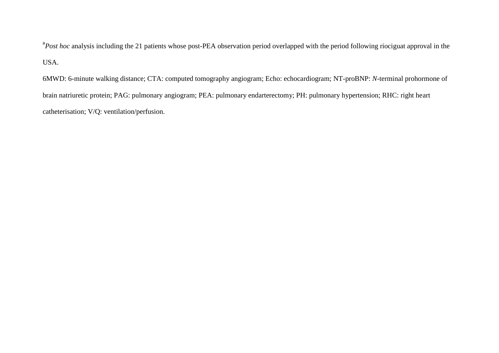# *Post hoc* analysis including the 21 patients whose post-PEA observation period overlapped with the period following riociguat approval in the USA.

6MWD: 6-minute walking distance; CTA: computed tomography angiogram; Echo: echocardiogram; NT-proBNP: *N*-terminal prohormone of brain natriuretic protein; PAG: pulmonary angiogram; PEA: pulmonary endarterectomy; PH: pulmonary hypertension; RHC: right heart catheterisation; V/Q: ventilation/perfusion.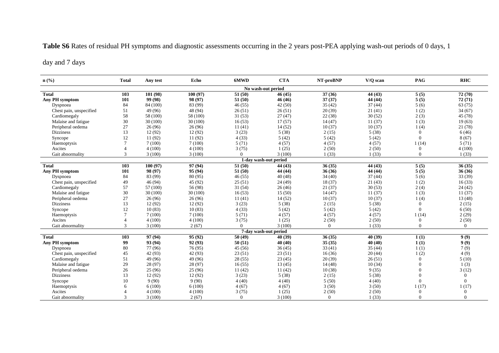# **Table S6** Rates of residual PH symptoms and diagnostic assessments occurring in the 2 years post-PEA applying wash-out periods of 0 days, 1

## day and 7 days

| $n\left(\frac{0}{0}\right)$ | <b>Total</b>   | Any test | Echo     | 6MWD           | <b>CTA</b>            | NT-proBNP      | V/Q scan | PAG            | <b>RHC</b> |
|-----------------------------|----------------|----------|----------|----------------|-----------------------|----------------|----------|----------------|------------|
| No wash-out period          |                |          |          |                |                       |                |          |                |            |
| <b>Total</b>                | 103            | 101 (98) | 100(97)  | 51(50)         | 46(45)                | 37(36)         | 44 (43)  | 5(5)           | 72(70)     |
| Any PH symptom              | 101            | 99 (98)  | 98 (97)  | 51(50)         | 46(46)                | 37(37)         | 44 (44)  | 5(5)           | 72(71)     |
| Dyspnoea                    | 84             | 84 (100) | 83 (99)  | 46(55)         | 42(50)                | 35(42)         | 37(44)   | 5(6)           | 63(75)     |
| Chest pain, unspecified     | 51             | 49 (96)  | 48 (94)  | 26(51)         | 26(51)                | 20(39)         | 21(41)   | 1(2)           | 34(67)     |
| Cardiomegaly                | 58             | 58 (100) | 58 (100) | 31(53)         | 27(47)                | 22(38)         | 30(52)   | 2(3)           | 45 (78)    |
| Malaise and fatigue         | 30             | 30(100)  | 30(100)  | 16(53)         | 17(57)                | 14(47)         | 11(37)   | 1(3)           | 19(63)     |
| Peripheral oedema           | 27             | 26(96)   | 26(96)   | 11(41)         | 14(52)                | 10(37)         | 10(37)   | 1(4)           | 21(78)     |
| <b>Dizziness</b>            | 13             | 12(92)   | 12(92)   | 3(23)          | 5(38)                 | 2(15)          | 5(38)    | $\overline{0}$ | 6(46)      |
| Syncope                     | 12             | 11 (92)  | 11(92)   | 4(33)          | 5(42)                 | 5(42)          | 5(42)    | $\Omega$       | 8(67)      |
| Haemoptysis                 | $\overline{7}$ | 7(100)   | 7(100)   | 5(71)          | 4(57)                 | 4(57)          | 4(57)    | 1(14)          | 5(71)      |
| Ascites                     |                | 4(100)   | 4(100)   | 3(75)          | 1(25)                 | 2(50)          | 2(50)    | $\mathbf{0}$   | 4(100)     |
| Gait abnormality            | 3              | 3(100)   | 3(100)   | $\Omega$       | 3(100)                | 1(33)          | 1(33)    | $\overline{0}$ | 1(33)      |
|                             |                |          |          |                | 1-day wash-out period |                |          |                |            |
| <b>Total</b>                | 103            | 100(97)  | 97 (94)  | 51(50)         | 44 (43)               | 36(35)         | 44 (43)  | 5(5)           | 36(35)     |
| Any PH symptom              | 101            | 98 (97)  | 95 (94)  | 51(50)         | 44 (44)               | 36(36)         | 44 (44)  | 5(5)           | 36(36)     |
| Dyspnoea                    | 84             | 83 (99)  | 80 (95)  | 46(55)         | 40(48)                | 34(40)         | 37(44)   | 5(6)           | 33 (39)    |
| Chest pain, unspecified     | 49             | 46(94)   | 45 (92)  | 25(51)         | 24(49)                | 18(37)         | 21(43)   | 1(2)           | 16(33)     |
| Cardiomegaly                | 57             | 57 (100) | 56 (98)  | 31(54)         | 26(46)                | 21(37)         | 30(53)   | 2(4)           | 24(42)     |
| Malaise and fatigue         | 30             | 30(100)  | 30(100)  | 16(53)         | 15(50)                | 14(47)         | 11(37)   | 1(3)           | 11(37)     |
| Peripheral oedema           | 27             | 26(96)   | 26(96)   | 11(41)         | 14(52)                | 10(37)         | 10(37)   | 1(4)           | 13(48)     |
| <b>Dizziness</b>            | 13             | 12(92)   | 12(92)   | 3(23)          | 5(38)                 | 2(15)          | 5(38)    | $\Omega$       | 2(15)      |
| Syncope                     | 12             | 10(83)   | 10(83)   | 4(33)          | 5(42)                 | 5(42)          | 5(42)    | $\overline{0}$ | 6(50)      |
| Haemoptysis                 | $\overline{7}$ | 7(100)   | 7(100)   | 5(71)          | 4(57)                 | 4(57)          | 4(57)    | 1(14)          | 2(29)      |
| Ascites                     |                | 4(100)   | 4(100)   | 3(75)          | 1(25)                 | 2(50)          | 2(50)    | $\overline{0}$ | 2(50)      |
| Gait abnormality            | $\mathbf{3}$   | 3(100)   | 2(67)    | $\Omega$       | 3(100)                | $\overline{0}$ | 1(33)    | $\overline{0}$ | $\Omega$   |
|                             |                |          |          |                | 7-day wash-out period |                |          |                |            |
| <b>Total</b>                | 103            | 97 (94)  | 95 (92)  | 50(49)         | 40 (39)               | 36(35)         | 40 (39)  | 1(1)           | 9(9)       |
| Any PH symptom              | 99             | 93 (94)  | 92 (93)  | 50(51)         | 40(40)                | 35(35)         | 40 (40)  | 1(1)           | 9(9)       |
| Dyspnoea                    | 80             | 77 (96)  | 76 (95)  | 45(56)         | 36(45)                | 33(41)         | 35(44)   | 1(1)           | 7(9)       |
| Chest pain, unspecified     | 45             | 42 (93)  | 42 (93)  | 23(51)         | 23(51)                | 16(36)         | 20(44)   | 1(2)           | 4(9)       |
| Cardiomegaly                | 51             | 49 (96)  | 49 (96)  | 28(55)         | 23(45)                | 20(39)         | 26(51)   | $\overline{0}$ | 5(10)      |
| Malaise and fatigue         | 29             | 28(97)   | 28 (97)  | 16(55)         | 13(45)                | 14(48)         | 10(34)   | $\Omega$       | 1(3)       |
| Peripheral oedema           | 26             | 25(96)   | 25(96)   | 11(42)         | 11(42)                | 10(38)         | 9(35)    | $\Omega$       | 3(12)      |
| <b>Dizziness</b>            | 13             | 12(92)   | 12(92)   | 3(23)          | 5(38)                 | 2(15)          | 5(38)    | $\Omega$       | $\Omega$   |
| Syncope                     | 10             | 9(90)    | 9(90)    | 4(40)          | 4(40)                 | 5(50)          | 4(40)    | $\Omega$       | $\Omega$   |
| Haemoptysis                 | 6              | 6(100)   | 6(100)   | 4(67)          | 4(67)                 | 3(50)          | 3(50)    | 1(17)          | 1(17)      |
| Ascites                     |                | 4(100)   | 4(100)   | 3(75)          | 1(25)                 | 2(50)          | 2(50)    | $\overline{0}$ | $\Omega$   |
| Gait abnormality            | 3              | 3(100)   | 2(67)    | $\overline{0}$ | 3(100)                | $\overline{0}$ | 1(33)    | $\Omega$       | $\Omega$   |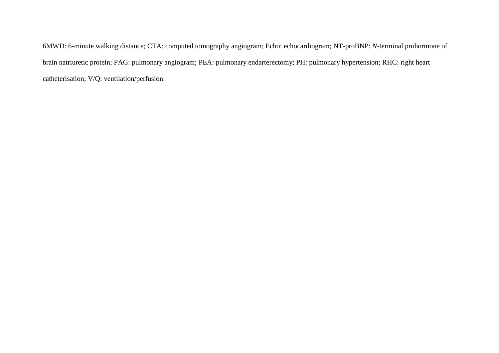6MWD: 6-minute walking distance; CTA: computed tomography angiogram; Echo: echocardiogram; NT-proBNP: *N*-terminal prohormone of brain natriuretic protein; PAG: pulmonary angiogram; PEA: pulmonary endarterectomy; PH: pulmonary hypertension; RHC: right heart catheterisation; V/Q: ventilation/perfusion.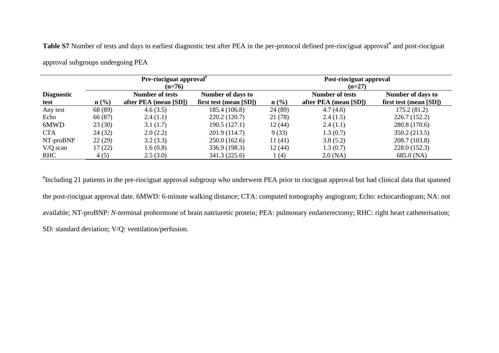Table S7 Number of tests and days to earliest diagnostic test after PEA in the per-protocol defined pre-riociguat approval<sup>#</sup> and post-riociguat

approval subgroups undergoing PEA

|                   |                  | Pre-riociguat approval"<br>$(n=76)$ |                        | Post-riociguat approval<br>$(n=27)$ |                        |                        |  |
|-------------------|------------------|-------------------------------------|------------------------|-------------------------------------|------------------------|------------------------|--|
| <b>Diagnostic</b> |                  | Number of tests                     | Number of days to      |                                     | <b>Number of tests</b> | Number of days to      |  |
| test              | $\mathbf{n}(\%)$ | after PEA (mean [SD])               | first test (mean [SD]) | $\mathbf{n}(\%)$                    | after PEA (mean [SD])  | first test (mean [SD]) |  |
| Any test          | 68 (89)          | 4.6(3.5)                            | 185.4 (106.8)          | 24 (89)                             | 4.7(4.6)               | 175.2(81.2)            |  |
| Echo              | 66 (87)          | 2.4(1.1)                            | 220.2 (120.7)          | 21 (78)                             | 2.4(1.5)               | 226.7 (152.2)          |  |
| 6MWD              | 23(30)           | 3.1(1.7)                            | 190.5(127.1)           | 12(44)                              | 2.4(1.1)               | 280.8 (170.6)          |  |
| <b>CTA</b>        | 24(32)           | 2.0(2.2)                            | 201.9 (114.7)          | 9(33)                               | 1.3(0.7)               | 350.2 (213.5)          |  |
| NT-proBNP         | 22(29)           | 3.2(3.3)                            | 250.0(162.6)           | 11(41)                              | 3.8(5.2)               | 208.7 (103.8)          |  |
| $V/Q$ scan        | 17(22)           | 1.6(0.8)                            | 336.9 (198.3)          | 12(44)                              | 1.3(0.7)               | 228.0 (152.3)          |  |
| <b>RHC</b>        | 4(5)             | 2.5(3.0)                            | 341.3 (225.6)          | (4)                                 | $2.0$ (NA)             | 685.0 (NA)             |  |

# Including 21 patients in the pre-riociguat approval subgroup who underwent PEA prior to riociguat approval but had clinical data that spanned the post-riociguat approval date. 6MWD: 6-minute walking distance; CTA: computed tomography angiogram; Echo: echocardiogram; NA: not available; NT-proBNP: *N*-terminal prohormone of brain natriuretic protein; PEA: pulmonary endarterectomy; RHC: right heart catheterisation; SD: standard deviation; V/Q: ventilation/perfusion.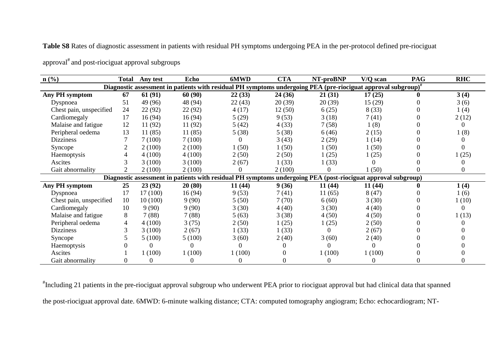**Table S8** Rates of diagnostic assessment in patients with residual PH symptoms undergoing PEA in the per-protocol defined pre-riociguat

| $n$ (%)                                                                                                                   | <b>Total</b> | Any test | Echo    | 6MWD   | <b>CTA</b> | NT-proBNP                                                                                                     | V/Q scan | <b>PAG</b> | <b>RHC</b> |  |  |
|---------------------------------------------------------------------------------------------------------------------------|--------------|----------|---------|--------|------------|---------------------------------------------------------------------------------------------------------------|----------|------------|------------|--|--|
| Diagnostic assessment in patients with residual PH symptoms undergoing PEA (pre-riociguat approval subgroup) <sup>*</sup> |              |          |         |        |            |                                                                                                               |          |            |            |  |  |
| Any PH symptom                                                                                                            | 67           | 61(91)   | 60(90)  | 22(33) | 24(36)     | 21(31)                                                                                                        | 17(25)   | 0          | 3(4)       |  |  |
| Dyspnoea                                                                                                                  | 51           | 49 (96)  | 48 (94) | 22(43) | 20(39)     | 20(39)                                                                                                        | 15(29)   |            | 3(6)       |  |  |
| Chest pain, unspecified                                                                                                   | 24           | 22 (92)  | 22 (92) | 4(17)  | 12(50)     | 6(25)                                                                                                         | 8(33)    |            | 1(4)       |  |  |
| Cardiomegaly                                                                                                              | 17           | 16(94)   | 16(94)  | 5(29)  | 9(53)      | 3(18)                                                                                                         | 7(41)    |            | 2(12)      |  |  |
| Malaise and fatigue                                                                                                       | 12           | 11 (92)  | 11 (92) | 5(42)  | 4(33)      | 7(58)                                                                                                         | 1(8)     |            |            |  |  |
| Peripheral oedema                                                                                                         | 13           | 11(85)   | 11(85)  | 5(38)  | 5(38)      | 6(46)                                                                                                         | 2(15)    |            | (8)        |  |  |
| <b>Dizziness</b>                                                                                                          |              | 7(100)   | 7(100)  |        | 3(43)      | 2(29)                                                                                                         | 1(14)    |            |            |  |  |
| Syncope                                                                                                                   |              | 2(100)   | 2(100)  | 1(50)  | 1(50)      | 1(50)                                                                                                         | 1(50)    |            |            |  |  |
| Haemoptysis                                                                                                               |              | 4(100)   | 4(100)  | 2(50)  | 2(50)      | 1(25)                                                                                                         | 1(25)    |            | (25)       |  |  |
| Ascites                                                                                                                   |              | 3(100)   | 3(100)  | 2(67)  | 1(33)      | 1(33)                                                                                                         |          |            |            |  |  |
| Gait abnormality                                                                                                          |              | 2(100)   | 2(100)  |        | 2(100)     | 0                                                                                                             | 1(50)    |            |            |  |  |
|                                                                                                                           |              |          |         |        |            | Diagnostic assessment in patients with residual PH symptoms undergoing PEA (post-riociguat approval subgroup) |          |            |            |  |  |
| <b>Any PH symptom</b>                                                                                                     | 25           | 23 (92)  | 20(80)  | 11(44) | 9(36)      | 11(44)                                                                                                        | 11(44)   |            | 1(4)       |  |  |
| Dyspnoea                                                                                                                  | 17           | 17(100)  | 16 (94) | 9(53)  | 7(41)      | 11(65)                                                                                                        | 8(47)    |            | 1(6)       |  |  |
| Chest pain, unspecified                                                                                                   | 10           | 10(100)  | 9(90)   | 5(50)  | 7(70)      | 6(60)                                                                                                         | 3(30)    |            | 1(10)      |  |  |
| Cardiomegaly                                                                                                              | 10           | 9(90)    | 9(90)   | 3(30)  | 4(40)      | 3(30)                                                                                                         | 4(40)    |            |            |  |  |
| Malaise and fatigue                                                                                                       | 8            | 7(88)    | 7(88)   | 5(63)  | 3(38)      | 4(50)                                                                                                         | 4(50)    |            | 1(13)      |  |  |
| Peripheral oedema                                                                                                         | 4            | 4(100)   | 3(75)   | 2(50)  | 1(25)      | 1(25)                                                                                                         | 2(50)    |            |            |  |  |
| <b>Dizziness</b>                                                                                                          |              | 3(100)   | 2(67)   | 1(33)  | 1(33)      | 0                                                                                                             | 2(67)    |            |            |  |  |
| Syncope                                                                                                                   |              | 5(100)   | 5(100)  | 3(60)  | 2(40)      | 3(60)                                                                                                         | 2(40)    |            |            |  |  |
| Haemoptysis                                                                                                               |              |          |         |        |            |                                                                                                               |          |            |            |  |  |
| Ascites                                                                                                                   |              | 1(100)   | 1(100)  | 1(100) |            | 1(100)                                                                                                        | 1(100)   |            |            |  |  |
| Gait abnormality                                                                                                          |              | 0        |         |        |            | 0                                                                                                             |          |            |            |  |  |

approval<sup>#</sup> and post-riociguat approval subgroups

# Including 21 patients in the pre-riociguat approval subgroup who underwent PEA prior to riociguat approval but had clinical data that spanned the post-riociguat approval date. 6MWD: 6-minute walking distance; CTA: computed tomography angiogram; Echo: echocardiogram; NT-